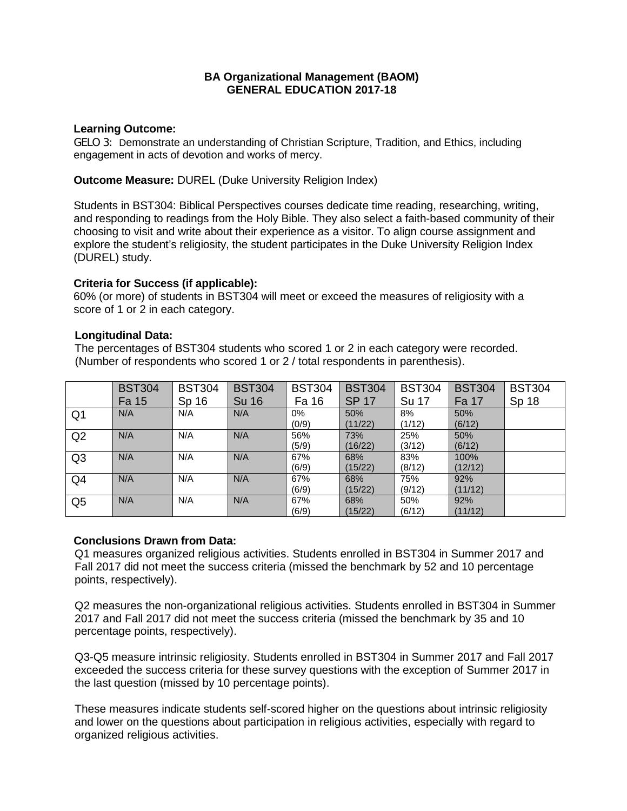# **BA Organizational Management (BAOM) GENERAL EDUCATION 2017-18**

### **Learning Outcome:**

GELO 3: Demonstrate an understanding of Christian Scripture, Tradition, and Ethics, including engagement in acts of devotion and works of mercy.

**Outcome Measure:** DUREL (Duke University Religion Index)

Students in BST304: Biblical Perspectives courses dedicate time reading, researching, writing, and responding to readings from the Holy Bible. They also select a faith-based community of their choosing to visit and write about their experience as a visitor. To align course assignment and explore the student's religiosity, the student participates in the Duke University Religion Index (DUREL) study.

### **Criteria for Success (if applicable):**

60% (or more) of students in BST304 will meet or exceed the measures of religiosity with a score of 1 or 2 in each category.

### **Longitudinal Data:**

 The percentages of BST304 students who scored 1 or 2 in each category were recorded. (Number of respondents who scored 1 or 2 / total respondents in parenthesis).

|                | <b>BST304</b> | <b>BST304</b> | <b>BST304</b> | <b>BST304</b> | <b>BST304</b> | <b>BST304</b> | <b>BST304</b> | <b>BST304</b> |
|----------------|---------------|---------------|---------------|---------------|---------------|---------------|---------------|---------------|
|                | Fa 15         | Sp 16         | <b>Su 16</b>  | Fa 16         | <b>SP 17</b>  | Su 17         | Fa 17         | Sp 18         |
| Q <sub>1</sub> | N/A           | N/A           | N/A           | 0%            | 50%           | 8%            | 50%           |               |
|                |               |               |               | (0/9)         | (11/22)       | (1/12)        | (6/12)        |               |
| Q2             | N/A           | N/A           | N/A           | 56%           | 73%           | 25%           | 50%           |               |
|                |               |               |               | (5/9)         | (16/22)       | (3/12)        | (6/12)        |               |
| Q <sub>3</sub> | N/A           | N/A           | N/A           | 67%           | 68%           | 83%           | 100%          |               |
|                |               |               |               | (6/9)         | (15/22)       | (8/12)        | (12/12)       |               |
| Q4             | N/A           | N/A           | N/A           | 67%           | 68%           | 75%           | 92%           |               |
|                |               |               |               | (6/9)         | (15/22)       | (9/12)        | (11/12)       |               |
| Q <sub>5</sub> | N/A           | N/A           | N/A           | 67%           | 68%           | 50%           | 92%           |               |
|                |               |               |               | (6/9)         | (15/22)       | (6/12)        | (11/12)       |               |

# **Conclusions Drawn from Data:**

Q1 measures organized religious activities. Students enrolled in BST304 in Summer 2017 and Fall 2017 did not meet the success criteria (missed the benchmark by 52 and 10 percentage points, respectively).

Q2 measures the non-organizational religious activities. Students enrolled in BST304 in Summer 2017 and Fall 2017 did not meet the success criteria (missed the benchmark by 35 and 10 percentage points, respectively).

Q3-Q5 measure intrinsic religiosity. Students enrolled in BST304 in Summer 2017 and Fall 2017 exceeded the success criteria for these survey questions with the exception of Summer 2017 in the last question (missed by 10 percentage points).

These measures indicate students self-scored higher on the questions about intrinsic religiosity and lower on the questions about participation in religious activities, especially with regard to organized religious activities.